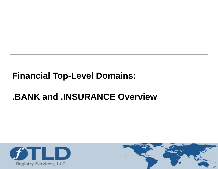#### **Financial Top-Level Domains:**

#### **.BANK and .INSURANCE Overview**



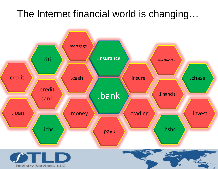#### The Internet financial world is changing…



2

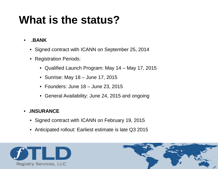## **What is the status?**

- **.BANK** 
	- Signed contract with ICANN on September 25, 2014
	- Registration Periods:
		- Qualified Launch Program: May 14 May 17, 2015
		- Sunrise: May 18 June 17, 2015
		- Founders: June 18 June 23, 2015
		- General Availability: June 24, 2015 and ongoing

#### • **.INSURANCE**

- Signed contract with ICANN on February 19, 2015
- Anticipated rollout: Earliest estimate is late Q3 2015



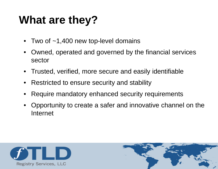## **What are they?**

- Two of  $~1,400$  new top-level domains
- Owned, operated and governed by the financial services sector
- Trusted, verified, more secure and easily identifiable
- Restricted to ensure security and stability
- Require mandatory enhanced security requirements
- Opportunity to create a safer and innovative channel on the Internet



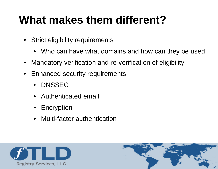# **What makes them different?**

- Strict eligibility requirements
	- Who can have what domains and how can they be used
- Mandatory verification and re-verification of eligibility
- Enhanced security requirements
	- DNSSEC
	- Authenticated email
	- Encryption
	- Multi-factor authentication



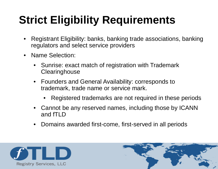# **Strict Eligibility Requirements**

- Registrant Eligibility: banks, banking trade associations, banking regulators and select service providers
- Name Selection:
	- Sunrise: exact match of registration with Trademark **Clearinghouse**
	- Founders and General Availability: corresponds to trademark, trade name or service mark.
		- Registered trademarks are not required in these periods
	- Cannot be any reserved names, including those by ICANN and fTLD
	- Domains awarded first-come, first-served in all periods



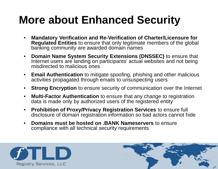# **More about Enhanced Security**

- **Mandatory Verification and Re-Verification of Charter/Licensure for Regulated Entities** to ensure that only legitimate members of the global banking community are awarded domain names
- **Domain Name System Security Extensions (DNSSEC)** to ensure that Internet users are landing on participants' actual websites and not being misdirected to malicious ones
- **Email Authentication** to mitigate spoofing, phishing and other malicious activities propagated through emails to unsuspecting users
- **Strong Encryption** to ensure security of communication over the Internet
- **Multi-Factor Authentication** to ensure that any change to registration data is made only by authorized users of the registered entity
- **Prohibition of Proxy/Privacy Registration Services** to ensure full disclosure of domain registration information so bad actors cannot hide
- **Domains must be hosted on .BANK Nameservers** to ensure compliance with all technical security requirements



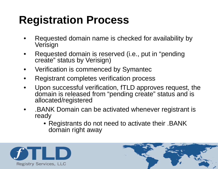# **Registration Process**

- Requested domain name is checked for availability by Verisign
- Requested domain is reserved (i.e., put in "pending create" status by Verisign)
- Verification is commenced by Symantec
- Registrant completes verification process
- Upon successful verification, fTLD approves request, the domain is released from "pending create" status and is allocated/registered
- .BANK Domain can be activated whenever registrant is ready
	- Registrants do not need to activate their . BANK domain right away



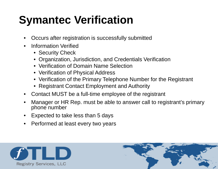# **Symantec Verification**

- Occurs after registration is successfully submitted
- Information Verified
	- Security Check
	- Organization, Jurisdiction, and Credentials Verification
	- Verification of Domain Name Selection
	- Verification of Physical Address
	- Verification of the Primary Telephone Number for the Registrant
	- Registrant Contact Employment and Authority
- Contact MUST be a full-time employee of the registrant
- Manager or HR Rep. must be able to answer call to registrant's primary phone number
- Expected to take less than 5 days
- Performed at least every two years



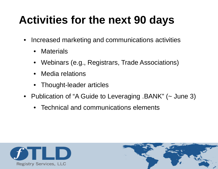# **Activities for the next 90 days**

- Increased marketing and communications activities
	- Materials
	- Webinars (e.g., Registrars, Trade Associations)
	- Media relations
	- Thought-leader articles
- Publication of "A Guide to Leveraging .BANK" (~ June 3)
	- Technical and communications elements



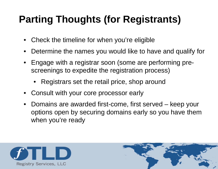### **Parting Thoughts (for Registrants)**

- Check the timeline for when you're eligible
- Determine the names you would like to have and qualify for
- Engage with a registrar soon (some are performing prescreenings to expedite the registration process)
	- Registrars set the retail price, shop around
- Consult with your core processor early
- Domains are awarded first-come, first served keep your options open by securing domains early so you have them when you're ready